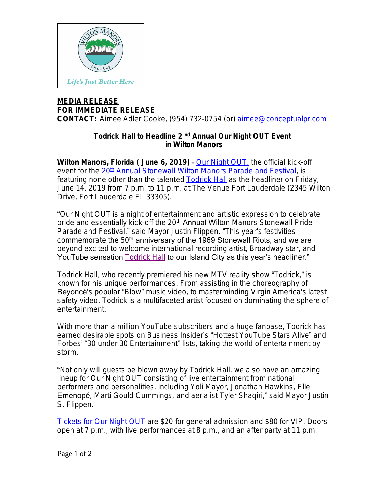

## **MEDIA RELEASE FOR IMMEDIATE RELEASE**

**CONTACT:** Aimee Adler Cooke, (954) 732-0754 (or) [aimee@conceptualpr.com](mailto:aimee@conceptualpr.com)

## **Todrick Hall to Headline 2 nd Annual Our Night OUT Event in Wilton Manors**

**Wilton Manors, Florida ( June 6, 2019)** – [Our Night OUT,](http://bit.ly/WMStonewall19) the official kick-off event for the [20](http://bit.ly/WMStonewall19)<sup>[th](http://bit.ly/WMStonewall19)</sup> [Annual Stonewall Wilton Manors Parade and Festival](http://bit.ly/WMStonewall19), is featuring none other than the talented [Todrick Hall as the headliner](https://www.facebook.com/pg/toddyrockstar/about/?ref=page_internal) [on Friday,](https://www.facebook.com/pg/toddyrockstar/about/?ref=page_internal)  [June 14, 2019 from 7 p.m. to 11 p.m. at The Venue Fort Lauderdale \(2345 Wilton](https://www.facebook.com/pg/toddyrockstar/about/?ref=page_internal) [Drive, Fort Lauderdale FL 33305\).](https://www.facebook.com/pg/toddyrockstar/about/?ref=page_internal)

"[Our Night OUT is a night of entertainment and artistic expression to celebrate](https://www.facebook.com/pg/toddyrockstar/about/?ref=page_internal)  [pride and essentially kick-off the 20](https://www.facebook.com/pg/toddyrockstar/about/?ref=page_internal)<sup>[th](https://www.facebook.com/pg/toddyrockstar/about/?ref=page_internal)</sup> [Annual W](https://www.facebook.com/pg/toddyrockstar/about/?ref=page_internal)ilton Manors Stonewall Pride [Parade and](https://www.facebook.com/pg/toddyrockstar/about/?ref=page_internal) Festival," [said Mayor Justin Flippen.](https://www.facebook.com/pg/toddyrockstar/about/?ref=page_internal) "This year's festivities [commemorate the 50](https://www.facebook.com/pg/toddyrockstar/about/?ref=page_internal)<sup>[th](https://www.facebook.com/pg/toddyrockstar/about/?ref=page_internal)</sup> anniversary of the 1969 Stonewall Riots, and we are [beyond excited to welcome international recording artist, Broadway star, and](https://www.facebook.com/pg/toddyrockstar/about/?ref=page_internal)  [YouTube sensation](https://www.facebook.com/pg/toddyrockstar/about/?ref=page_internal) **[Todrick Hall](x-apple-data-detectors://0)** [to our Island City as this year'](x-apple-data-detectors://0)s headliner."

[Todrick Hall, who recently premiered his new MTV reality show](x-apple-data-detectors://0) "[Todrick,](x-apple-data-detectors://0)" [is](x-apple-data-detectors://0)  [known for his unique performances. From assisting in the choreography of](x-apple-data-detectors://0)  Beyoncé's popular "Blow" [music video, to masterminding Virgin America](x-apple-data-detectors://0)'s latest [safety video, Todrick is a multifaceted artist focused on dominating the sphere of](x-apple-data-detectors://0)  [entertainment.](x-apple-data-detectors://0)

[With more than a million YouTube subscribers and a huge fanbase, Todrick has](x-apple-data-detectors://0)  [earned desirable spots on Business Insider](x-apple-data-detectors://0)'s "Hottest YouTube Stars Alive" and Forbes' "30 under 30 Entertainment" [lists, taking the world of entertainment by](x-apple-data-detectors://0)  [storm.](x-apple-data-detectors://0)

"[Not only will guests be blown away by Todrick Hall, we also have an amazing](x-apple-data-detectors://0)  [lineup for Our Night OUT consisting of live entertainment from national](x-apple-data-detectors://0)  [performers and personalities, including Yoli Mayor, Jonathan Hawkins, Elle](x-apple-data-detectors://0)  [Emenopé](x-apple-data-detectors://0)[, Marti Gould Cummings, and aerialist Tyler Shaqiri,](x-apple-data-detectors://0)" [said](x-apple-data-detectors://0) [Mayor Justin](x-apple-data-detectors://0)  [S. Flippen.](x-apple-data-detectors://0)

[Tickets for Our Night OUT](http://bit.ly/WMOurNightOUT) are \$20 for general admission and \$80 for VIP. Doors open at 7 p.m., with live performances at 8 p.m., and an after party at 11 p.m.